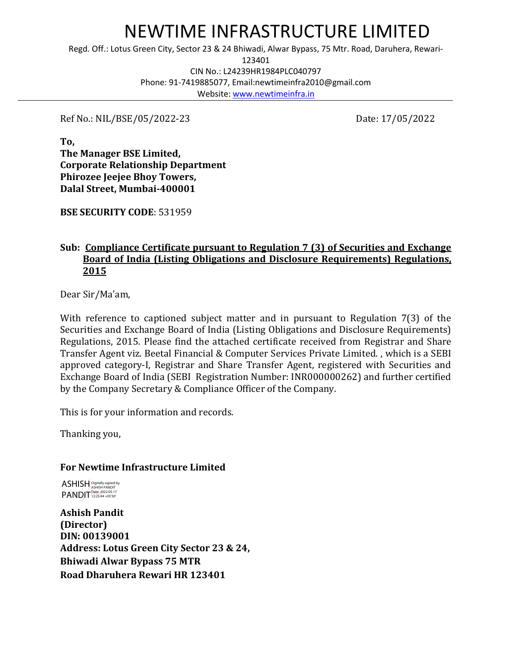# NEWTIME INFRASTRUCTURE LIMITED

Regd. Off.: Lotus Green City, Sector 23 & 24 Bhiwadi, Alwar Bypass, 75 Mtr. Road, Daruhera, Rewari-

123401

CIN No.: L24239HR1984PLC040797 Phone: 91-7419885077, Email:newtimeinfra2010@gmail.com Website[: www.newtimeinfra.in](http://www.newtimeinfra.in/)

Ref No.: NIL/BSE/05/2022-23 Date: 17/05/2022

**To, The Manager BSE Limited, Corporate Relationship Department Phirozee Jeejee Bhoy Towers, Dalal Street, Mumbai-400001**

**BSE SECURITY CODE**: 531959

## **Sub: Compliance Certificate pursuant to Regulation 7 (3) of Securities and Exchange Board of India (Listing Obligations and Disclosure Requirements) Regulations, 2015**

Dear Sir/Ma'am,

With reference to captioned subject matter and in pursuant to Regulation 7(3) of the Securities and Exchange Board of India (Listing Obligations and Disclosure Requirements) Regulations, 2015. Please find the attached certificate received from Registrar and Share Transfer Agent viz. Beetal Financial & Computer Services Private Limited. , which is a SEBI approved category-I, Registrar and Share Transfer Agent, registered with Securities and Exchange Board of India (SEBI Registration Number: INR000000262) and further certified by the Company Secretary & Compliance Officer of the Company.

This is for your information and records.

Thanking you,

## **For Newtime Infrastructure Limited**

ASHISH Digitally signed by PANDIT<sup>Date: 2022.05.17</sup>

**Ashish Pandit (Director) DIN: 00139001 Address: Lotus Green City Sector 23 & 24, Bhiwadi Alwar Bypass 75 MTR Road Dharuhera Rewari HR 123401**